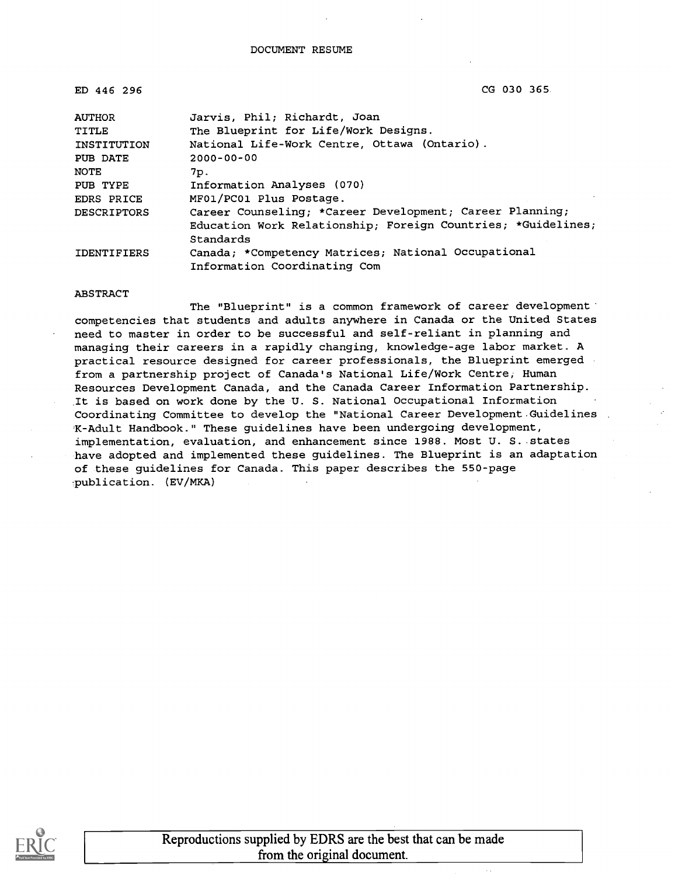ED 446 296 CG 030 365

| <b>AUTHOR</b>                          | Jarvis, Phil; Richardt, Joan                                 |  |  |
|----------------------------------------|--------------------------------------------------------------|--|--|
| TITLE                                  | The Blueprint for Life/Work Designs.                         |  |  |
| INSTITUTION                            | National Life-Work Centre, Ottawa (Ontario).                 |  |  |
| PUB DATE                               | $2000 - 00 - 00$                                             |  |  |
| <b>NOTE</b>                            | 7p.                                                          |  |  |
| Information Analyses (070)<br>PUB TYPE |                                                              |  |  |
| EDRS PRICE                             | MF01/PC01 Plus Postage.                                      |  |  |
| <b>DESCRIPTORS</b>                     | Career Counseling; *Career Development; Career Planning;     |  |  |
|                                        | Education Work Relationship; Foreign Countries; *Guidelines; |  |  |
|                                        | Standards                                                    |  |  |
| <b>IDENTIFIERS</b>                     | Canada; *Competency Matrices; National Occupational          |  |  |
|                                        | Information Coordinating Com                                 |  |  |

#### ABSTRACT

The "Blueprint" is a common framework of career development competencies that students and adults anywhere in Canada or the United States need to master in order to be successful and self-reliant in planning and managing their careers in a rapidly changing, knowledge-age labor market. A practical resource designed for career professionals, the Blueprint emerged from a partnership project of Canada's National Life/Work Centre, Human Resources Development Canada, and the Canada Career Information Partnership. It is based on work done by the U. S. National Occupational Information Coordinating Committee to develop the "National Career Development Guidelines K-Adult Handbook." These guidelines have been undergoing development, implementation, evaluation, and enhancement since 1988. Most U. S. states have adopted and implemented these guidelines. The Blueprint is an adaptation of these guidelines for Canada. This paper describes the 550-page publication. (EV/MKA)

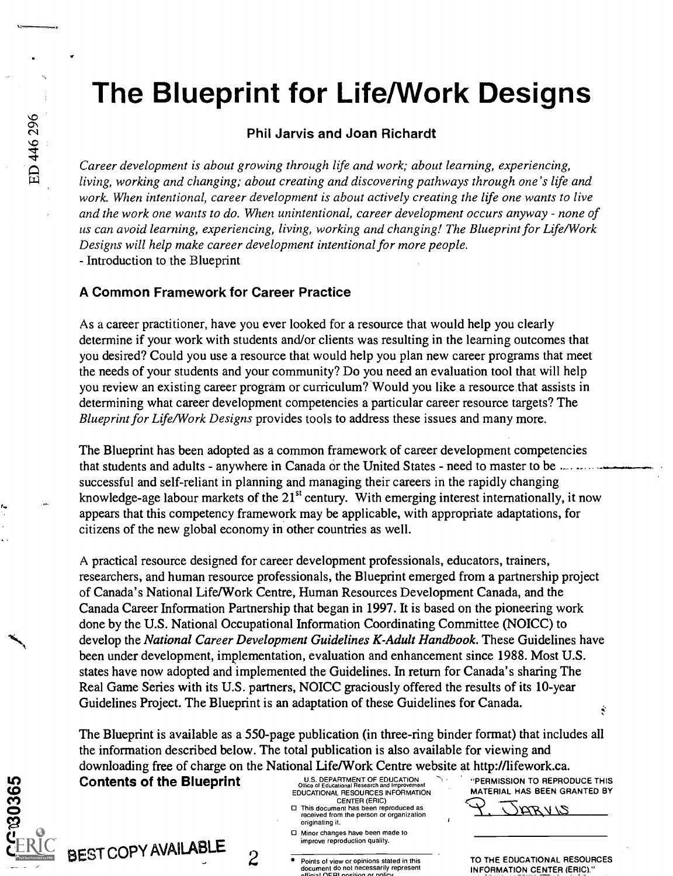# The Blueprint for Life/Work Designs

#### Phil Jarvis and Joan Richardt

Career development is about growing through life and work; about learning, experiencing, living, working and changing; about creating and discovering pathways through one's life and work. When intentional, career development is about actively creating the life one wants to live and the work one wants to do. When unintentional, career development occurs anyway - none of us can avoid learning, experiencing, living, working and changing! The Blueprint for Life/Work Designs will help make career development intentional for more people. - Introduction to the Blueprint

#### A Common Framework for Career Practice

As a career practitioner, have you ever looked for a resource that would help you clearly determine if your work with students and/or clients was resulting in the learning outcomes that you desired? Could you use a resource that would help you plan new career programs that meet the needs of your students and your community? Do you need an evaluation tool that will help you review an existing career program or curriculum? Would you like a resource that assists in determining what career development competencies a particular career resource targets? The Blueprint for Life/Work Designs provides tools to address these issues and many more.

The Blueprint has been adopted as a common framework of career development competencies that students and adults - anywhere in Canada or the United States - need to master to be .... successful and self-reliant in planning and managing their careers in the rapidly changing knowledge-age labour markets of the 21<sup>st</sup> century. With emerging interest internationally, it now appears that this competency framework may be applicable, with appropriate adaptations, for citizens of the new global economy in other countries as well.

A practical resource designed for career development professionals, educators, trainers, researchers, and human resource professionals, the Blueprint emerged from a partnership project of Canada's National Life/Work Centre, Human Resources Development Canada, and the Canada Career Information Partnership that began in 1997. It is based on the pioneering work done by the U.S. National Occupational Information Coordinating Committee (NOICC) to develop the National Career Development Guidelines K-Adult Handbook. These Guidelines have been under development, implementation, evaluation and enhancement since 1988. Most U.S. states have now adopted and implemented the Guidelines. In return for Canada's sharing The Real Game Series with its U.S. partners, NOICC graciously offered the results of its 10-year Guidelines Project. The Blueprint is an adaptation of these Guidelines for Canada. ġ.

The Blueprint is available as a 550-page publication (in three-ring binder format) that includes all the information described below. The total publication is also available for viewing and downloading free of charge on the National Life/Work Centre website at http://lifework.ca.<br>Contents of the Blueprint of the self-the self-the self-the self-the self-the self-the self-the self-the self-the self-the self-the

Contents of the Blueprint U.S. DEPARTMENT OF EDUCATION TO REPRODUCE THIS



EDUCATIONAL RESOURCES INFORMATION CENTER (ERIC)

- This document has been reproduced as received from the person or organization originating it.
- Minor changes have been made to improve reproduction quality.
- Points of view or opinions stated in this<br>document do not necessarily represent<br>official OFBI nosition or policy.

MATERIAL HAS BEEN GRANTED BY

ZJ V ATA

TO THE EDUCATIONAL RESOURCES INFORMATION CENTER (ERIC)."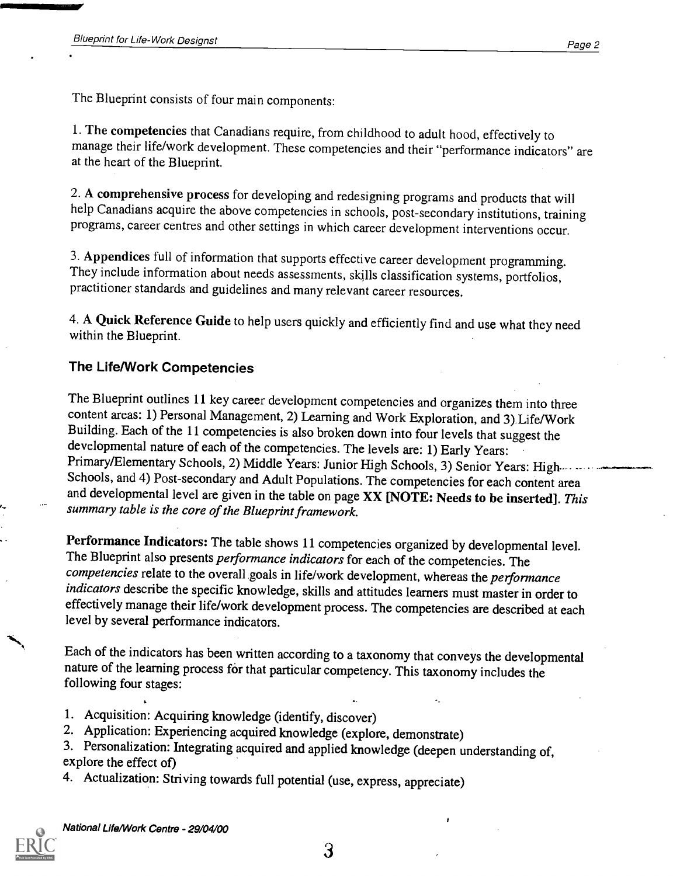The Blueprint consists of four main components:

1. The competencies that Canadians require, from childhood to adult hood, effectively to manage their life/work development. These competencies and their "performance indicators" are at the heart of the Blueprint.

2. A comprehensive process for developing and redesigning programs and products that will help Canadians acquire the above competencies in schools, post-secondary institutions, training programs, career centres and other settings in which career development interventions occur.

3. Appendices full of information that supports effective career development programming. They include information about needs assessments, skills classification systems, portfolios, practitioner standards and guidelines and many relevant career resources.

4. A Quick Reference Guide to help users quickly and efficiently find and use what they need within the Blueprint.

#### The Life/Work Competencies

The Blueprint outlines 11 key career development competencies and organizes them into three content areas: 1) Personal Management, 2) Learning and Work Exploration, and 3) Life/Work Building. Each of the 11 competencies is also broken down into four levels that suggest the developmental nature of each of the competencies. The levels are: 1) Early Years: Primary/Elementary Schools, 2) Middle Years: Junior High Schools, 3) Senior Years: High.... Schools, and 4) Post-secondary and Adult Populations. The competencies for each content area and developmental level are given in the table on page XX [NOTE: Needs to be inserted]. This summary table is the core of the Blueprint framework.

Performance Indicators: The table shows 11 competencies organized by developmental level.<br>The Blueprint also presents *performance indicators* for each of the competencies. The competencies relate to the overall goals in life/work development, whereas the performance indicators describe the specific knowledge, skills and attitudes learners must master in order to effectively manage their life/work development process. The competencies are described at each level by several performance indicators.

Each of the indicators has been written according to a taxonomy that conveys the developmental nature of the learning process for that particular competency. This taxonomy includes the following four stages:

- 1. Acquisition: Acquiring knowledge (identify, discover)
- 2. Application: Experiencing acquired knowledge (explore, demonstrate)
- 3. Personalization: Integrating acquired and applied knowledge (deepen understanding of, explore the effect of)
- 4. Actualization: Striving towards full potential (use, express, appreciate)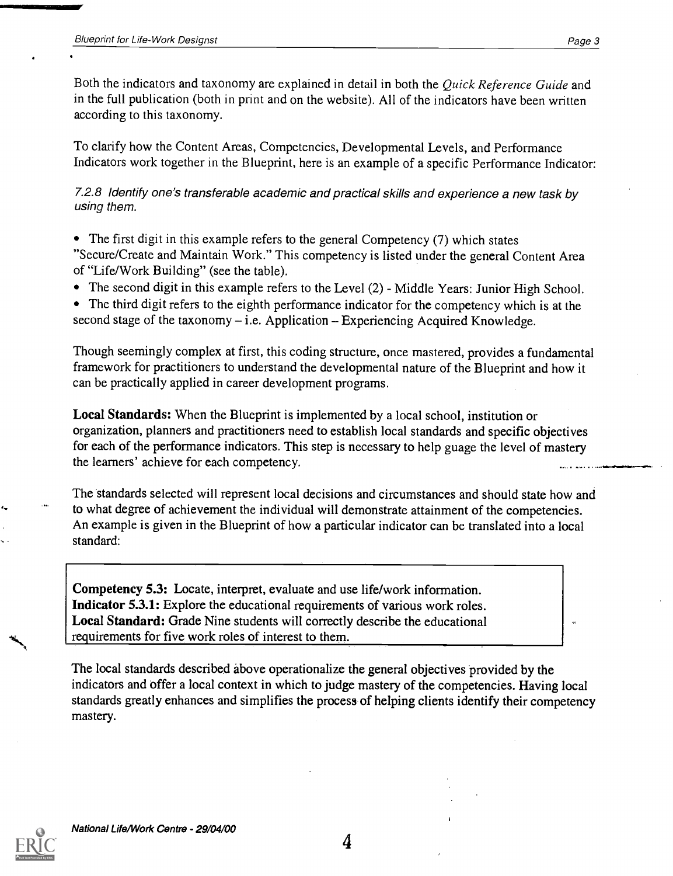Both the indicators and taxonomy are explained in detail in both the Quick Reference Guide and in the full publication (both in print and on the website). All of the indicators have been written according to this taxonomy.

To clarify how the Content Areas, Competencies, Developmental Levels, and Performance Indicators work together in the Blueprint, here is an example of a specific Performance Indicator:

7.2.8 Identify one's transferable academic and practical skills and experience a new task by using them.

- The first digit in this example refers to the general Competency (7) which states "Secure/Create and Maintain Work." This competency is listed under the general Content Area of "Life/Work Building" (see the table).
- The second digit in this example refers to the Level (2) Middle Years: Junior High School.

The third digit refers to the eighth performance indicator for the competency which is at the second stage of the taxonomy  $-$  i.e. Application  $-$  Experiencing Acquired Knowledge.

Though seemingly complex at first, this coding structure, once mastered, provides a fundamental framework for practitioners to understand the developmental nature of the Blueprint and how it can be practically applied in career development programs.

Local Standards: When the Blueprint is implemented by a local school, institution or organization, planners and practitioners need to establish local standards and specific objectives for each of the performance indicators. This step is necessary to help guage the level of mastery the learners' achieve for each competency.

The standards selected will represent local decisions and circumstances and should state how and to what degree of achievement the individual will demonstrate attainment of the competencies. An example is given in the Blueprint of how a particular indicator can be translated into a local standard:

Competency 5.3: Locate, interpret, evaluate and use life/work information. Indicator 5.3.1: Explore the educational requirements of various work roles. Local Standard: Grade Nine students will correctly describe the educational requirements for five work roles of interest to them.

The local standards described above operationalize the general objectives provided by the indicators and offer a local context in which to judge mastery of the competencies. Having local standards greatly enhances and simplifies the process of helping clients identify their competency mastery.

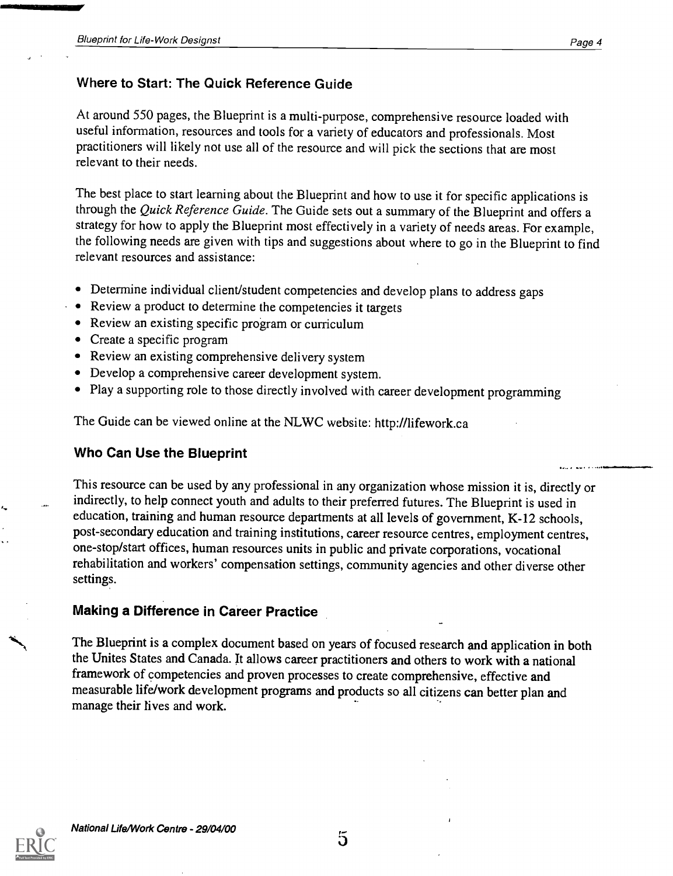#### Where to Start: The Quick Reference Guide

At around 550 pages, the Blueprint is a multi-purpose, comprehensive resource loaded with useful information, resources and tools for a variety of educators and professionals. Most practitioners will likely not use all of the resource and will pick the sections that are most relevant to their needs.

The best place to start learning about the Blueprint and how to use it for specific applications is through the Quick Reference Guide. The Guide sets out a summary of the Blueprint and offers a strategy for how to apply the Blueprint most effectively in a variety of needs areas. For example, the following needs are given with tips and suggestions about where to go in the Blueprint to find relevant resources and assistance:

- Determine individual client/student competencies and develop plans to address gaps
- Review a product to determine the competencies it targets
- Review an existing specific program or curriculum
- Create a specific program
- Review an existing comprehensive delivery system
- Develop a comprehensive career development system.
- Play a supporting role to those directly involved with career development programming

The Guide can be viewed online at the NLWC website: http://lifework.ca

#### Who Can Use the Blueprint

This resource can be used by any professional in any organization whose mission it is, directly or indirectly, to help connect youth and adults to their preferred futures. The Blueprint is used in education, training and human resource departments at all levels of government, K-12 schools, post-secondary education and training institutions, career resource centres, employment centres, one-stop/start offices, human resources units in public and private corporations, vocational rehabilitation and workers' compensation settings, community agencies and other diverse other settings.

#### Making a Difference in Career Practice

The Blueprint is a complex document based on years of focused research and application in both the Unites States and Canada. It allows career practitioners and others to work with a national framework of competencies and proven processes to create comprehensive, effective and measurable life/work development programs and products so all citizens can better plan and manage their fives and work.

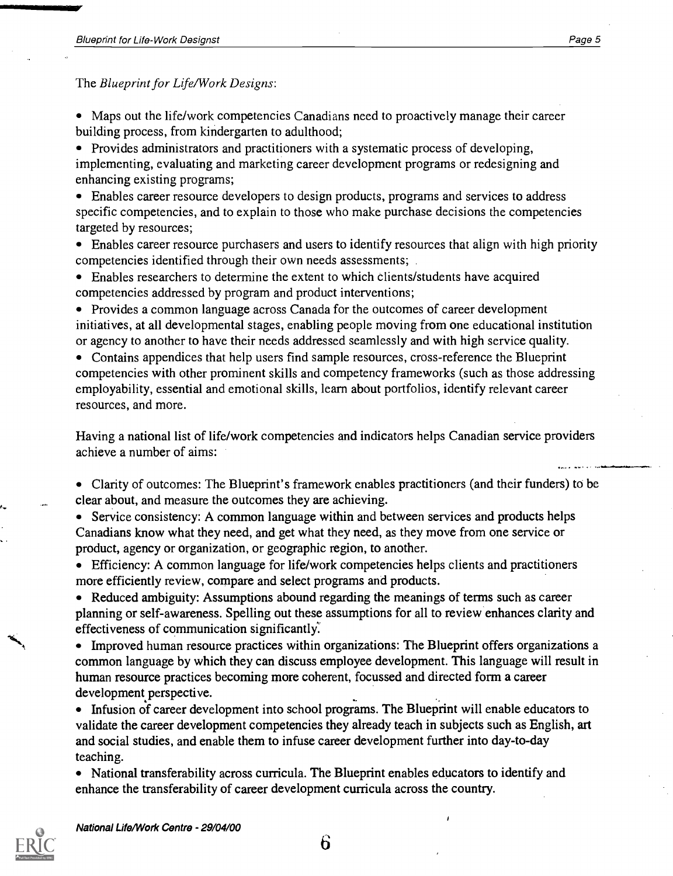The Blueprint for Life/Work Designs:

Maps out the life/work competencies Canadians need to proactively manage their career building process, from kindergarten to adulthood;

• Provides administrators and practitioners with a systematic process of developing, implementing, evaluating and marketing career development programs or redesigning and enhancing existing programs;

Enables career resource developers to design products, programs and services to address specific competencies, and to explain to those who make purchase decisions the competencies targeted by resources;

Enables career resource purchasers and users to identify resources that align with high priority competencies identified through their own needs assessments;

Enables researchers to determine the extent to which clients/students have acquired competencies addressed by program and product interventions;

• Provides a common language across Canada for the outcomes of career development initiatives, at all developmental stages, enabling people moving from one educational institution or agency to another to have their needs addressed seamlessly and with high service quality.

Contains appendices that help users find sample resources, cross-reference the Blueprint competencies with other prominent skills and competency frameworks (such as those addressing employability, essential and emotional skills, learn about portfolios, identify relevant career resources, and more.

Having a national list of life/work competencies and indicators helps Canadian service providers achieve a number of aims:

Clarity of outcomes: The Blueprint's framework enables practitioners (and their funders) to be clear about, and measure the outcomes they are achieving.

• Service consistency: A common language within and between services and products helps Canadians know what they need, and get what they need, as they move from one service or product, agency or organization, or geographic region, to another.

Efficiency: A common language for life/work competencies helps clients and practitioners more efficiently review, compare and select programs and products.

• Reduced ambiguity: Assumptions abound regarding the meanings of terms such as career planning or self-awareness. Spelling out these assumptions for all to review enhances clarity and effectiveness of communication significantly.

• Improved human resource practices within organizations: The Blueprint offers organizations a common language by which they can discuss employee development. This language will result in human resource practices becoming more coherent, focussed and directed form a career development perspective.

• Infusion of career development into school programs. The Blueprint will enable educators to validate the career development competencies they already teach in subjects such as English, art and social studies, and enable them to infuse career development further into day-to-day teaching.

• National transferability across curricula. The Blueprint enables educators to identify and enhance the transferability of career development curricula across the country.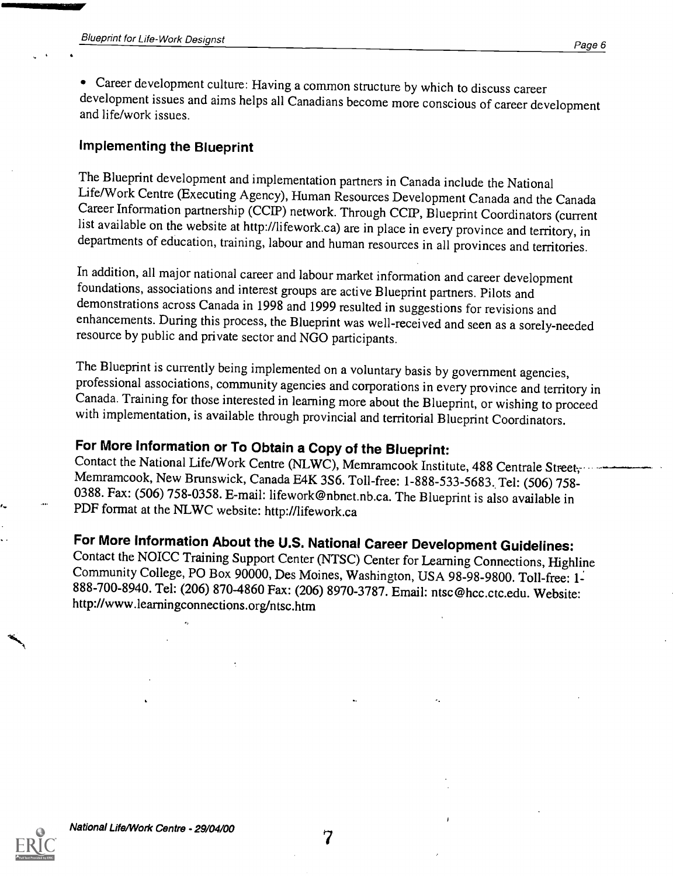Career development culture: Having a common structure by which to discuss career development issues and aims helps all Canadians become more conscious of career development and life/work issues.

#### Implementing the Blueprint

The Blueprint development and implementation partners in Canada include the National Career Information partnership (CCIP) network. Through CCIP, Blueprint Coordinators (current list available on the website at http://lifework.ca) are in place in every province and territory, in departments of education, training, labour and human resources in all provinces and territories.

In addition, all major national career and labour market information and career development foundations, associations and interest groups are active Blueprint partners. Pilots and demonstrations across Canada in 1998 and 1999 resulted in suggestions for revisions and enhancements. During this process, the Blueprint was well-received and seen as a sorely-needed resource by public and private sector and NGO participants.

The Blueprint is currently being implemented on a voluntary basis by government agencies, professional associations, community agencies and corporations in every province and territory in Canada. Training for those interested in learning more about the Blueprint, or wishing to proceed with implementation, is available through provincial and territorial Blueprint Coordinators.

### For More Information or To Obtain a Copy of the Blueprint:

Contact the National Life/Work Centre (NLWC), Memramcook Institute, 488 Centrale Street, Memramcook, New Brunswick, Canada E4K 3S6. Toll-free: 1-888-533-5683. Tel: (506) 758-0388. Fax: (506) 758-0358. E-mail: lifework@nbnet.nb.ca. The Blueprint is also available in PDF format at the NLWC website: http://lifework.ca

## For More Information About the U.S. National Career Development Guidelines:

Contact the NOICC Training Support Center (NTSC) Center for Learning Connections, Highline Community College, PO Box 90000, Des Moines, Washington, USA 98-98-9800. Toll-free: 888-700-8940. Tel: (206) 870-4860 Fax: (206) 8970-3787. Email: ntsc@hcc.ctc.edu. Website: http://www.learningconnections.org/ntsc.htm



7